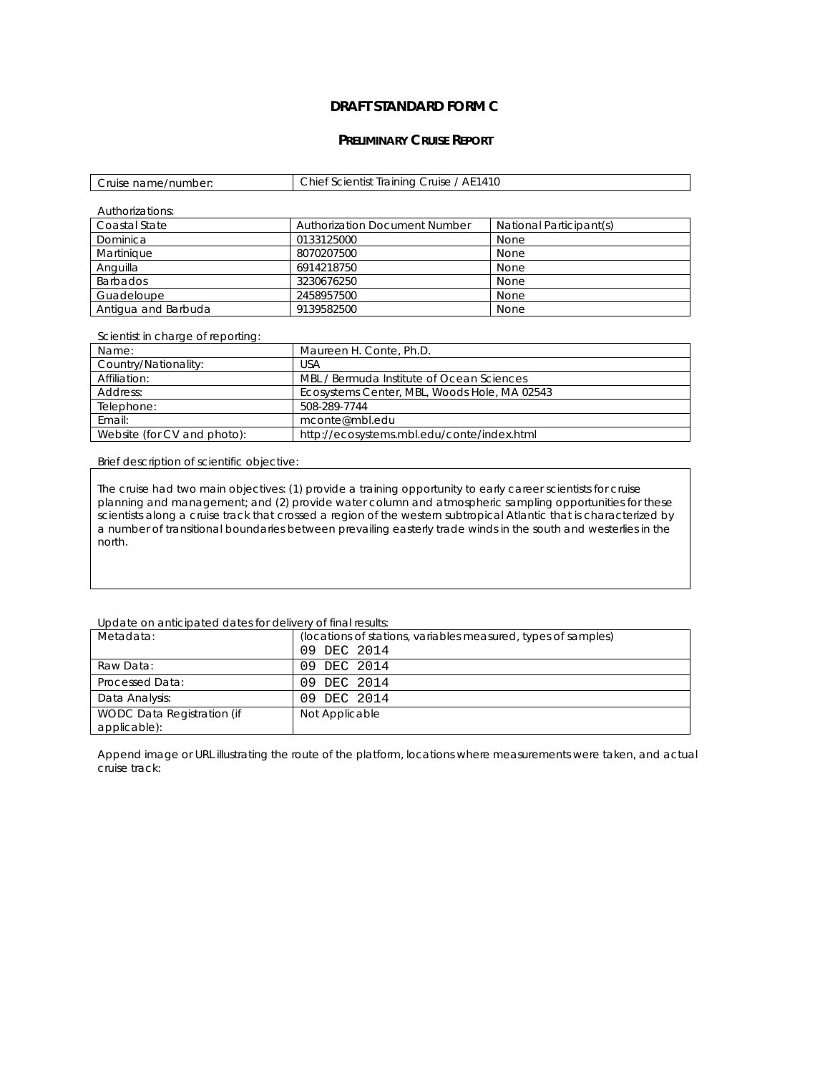## **DRAFT STANDARD FORM C**

## **PRELIMINARY CRUISE REPORT**

| Cruise name/number: | Chief Scientist Training Cruise / AE1410 |
|---------------------|------------------------------------------|
|---------------------|------------------------------------------|

| Authorizations:     |                                      |                         |
|---------------------|--------------------------------------|-------------------------|
| Coastal State       | <b>Authorization Document Number</b> | National Participant(s) |
| Dominica            | 0133125000                           | None                    |
| Martinique          | 8070207500                           | None                    |
| Anguilla            | 6914218750                           | None                    |
| <b>Barbados</b>     | 3230676250                           | None                    |
| Guadeloupe          | 2458957500                           | None                    |
| Antigua and Barbuda | 9139582500                           | None                    |

## Scientist in charge of reporting:

| Name:                       | Maureen H. Conte, Ph.D.                      |
|-----------------------------|----------------------------------------------|
| Country/Nationality:        | USA                                          |
| Affiliation:                | MBL / Bermuda Institute of Ocean Sciences    |
| Address:                    | Ecosystems Center, MBL, Woods Hole, MA 02543 |
| Telephone:                  | 508-289-7744                                 |
| Email:                      | mconte@mbl.edu                               |
| Website (for CV and photo): | http://ecosystems.mbl.edu/conte/index.html   |

Brief description of scientific objective:

The cruise had two main objectives: (1) provide a training opportunity to early career scientists for cruise planning and management; and (2) provide water column and atmospheric sampling opportunities for these scientists along a cruise track that crossed a region of the western subtropical Atlantic that is characterized by a number of transitional boundaries between prevailing easterly trade winds in the south and westerlies in the north.

## Update on anticipated dates for delivery of final results:

| Metadata:                                  | (locations of stations, variables measured, types of samples)<br>09 DEC 2014 |
|--------------------------------------------|------------------------------------------------------------------------------|
| Raw Data:                                  | 09 DEC 2014                                                                  |
| Processed Data:                            | 09 DEC 2014                                                                  |
| Data Analysis:                             | 09 DEC 2014                                                                  |
| WODC Data Registration (if<br>applicable): | Not Applicable                                                               |

Append image or URL illustrating the route of the platform, locations where measurements were taken, and actual cruise track: